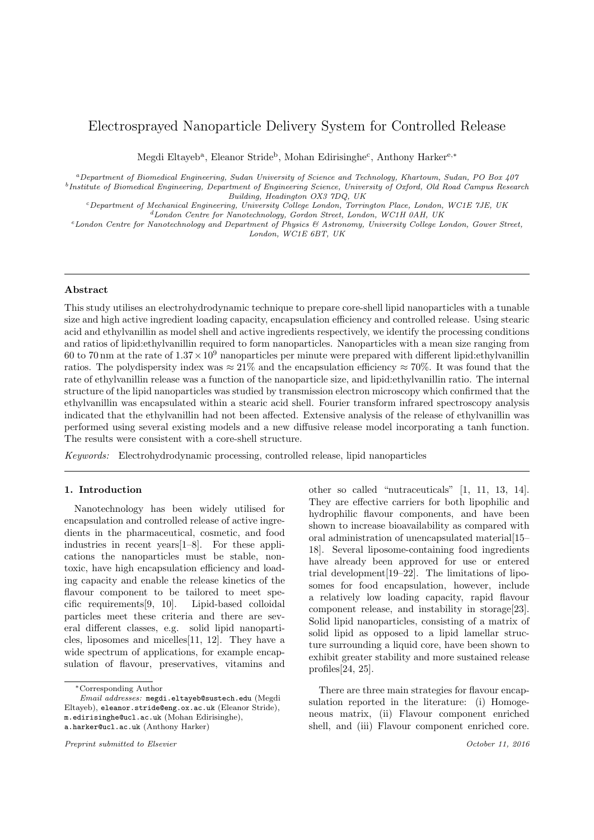# Electrosprayed Nanoparticle Delivery System for Controlled Release

Megdi Eltayeb<sup>a</sup>, Eleanor Stride<sup>b</sup>, Mohan Edirisinghe<sup>c</sup>, Anthony Harker<sup>e,\*</sup>

<sup>a</sup>Department of Biomedical Engineering, Sudan University of Science and Technology, Khartoum, Sudan, PO Box 407 <sup>b</sup>Institute of Biomedical Engineering, Department of Engineering Science, University of Oxford, Old Road Campus Research Building, Headington OX3 7DQ, UK

<sup>c</sup>Department of Mechanical Engineering, University College London, Torrington Place, London, WC1E 7JE, UK

<sup>d</sup>London Centre for Nanotechnology, Gordon Street, London, WC1H 0AH, UK

<sup>e</sup>London Centre for Nanotechnology and Department of Physics & Astronomy, University College London, Gower Street, London, WC1E 6BT, UK

#### Abstract

This study utilises an electrohydrodynamic technique to prepare core-shell lipid nanoparticles with a tunable size and high active ingredient loading capacity, encapsulation efficiency and controlled release. Using stearic acid and ethylvanillin as model shell and active ingredients respectively, we identify the processing conditions and ratios of lipid:ethylvanillin required to form nanoparticles. Nanoparticles with a mean size ranging from 60 to 70 nm at the rate of  $1.37 \times 10^9$  nanoparticles per minute were prepared with different lipid:ethylvanillin ratios. The polydispersity index was  $\approx 21\%$  and the encapsulation efficiency  $\approx 70\%$ . It was found that the rate of ethylvanillin release was a function of the nanoparticle size, and lipid:ethylvanillin ratio. The internal structure of the lipid nanoparticles was studied by transmission electron microscopy which confirmed that the ethylvanillin was encapsulated within a stearic acid shell. Fourier transform infrared spectroscopy analysis indicated that the ethylvanillin had not been affected. Extensive analysis of the release of ethylvanillin was performed using several existing models and a new diffusive release model incorporating a tanh function. The results were consistent with a core-shell structure.

Keywords: Electrohydrodynamic processing, controlled release, lipid nanoparticles

## 1. Introduction

Nanotechnology has been widely utilised for encapsulation and controlled release of active ingredients in the pharmaceutical, cosmetic, and food industries in recent years[1–8]. For these applications the nanoparticles must be stable, nontoxic, have high encapsulation efficiency and loading capacity and enable the release kinetics of the flavour component to be tailored to meet specific requirements[9, 10]. Lipid-based colloidal particles meet these criteria and there are several different classes, e.g. solid lipid nanoparticles, liposomes and micelles[11, 12]. They have a wide spectrum of applications, for example encapsulation of flavour, preservatives, vitamins and

Preprint submitted to Elsevier Containers and the Containers of the Containers of Corollary Containers Containers Containers and the Containers of the Containers of the Containers of the Containers of the Containers of the

other so called "nutraceuticals" [1, 11, 13, 14]. They are effective carriers for both lipophilic and hydrophilic flavour components, and have been shown to increase bioavailability as compared with oral administration of unencapsulated material[15– 18]. Several liposome-containing food ingredients have already been approved for use or entered trial development[19–22]. The limitations of liposomes for food encapsulation, however, include a relatively low loading capacity, rapid flavour component release, and instability in storage[23]. Solid lipid nanoparticles, consisting of a matrix of solid lipid as opposed to a lipid lamellar structure surrounding a liquid core, have been shown to exhibit greater stability and more sustained release profiles[24, 25].

There are three main strategies for flavour encapsulation reported in the literature: (i) Homogeneous matrix, (ii) Flavour component enriched shell, and (iii) Flavour component enriched core.

<sup>∗</sup>Corresponding Author

Email addresses: megdi.eltayeb@sustech.edu (Megdi Eltayeb), eleanor.stride@eng.ox.ac.uk (Eleanor Stride), m.edirisinghe@ucl.ac.uk (Mohan Edirisinghe), a.harker@ucl.ac.uk (Anthony Harker)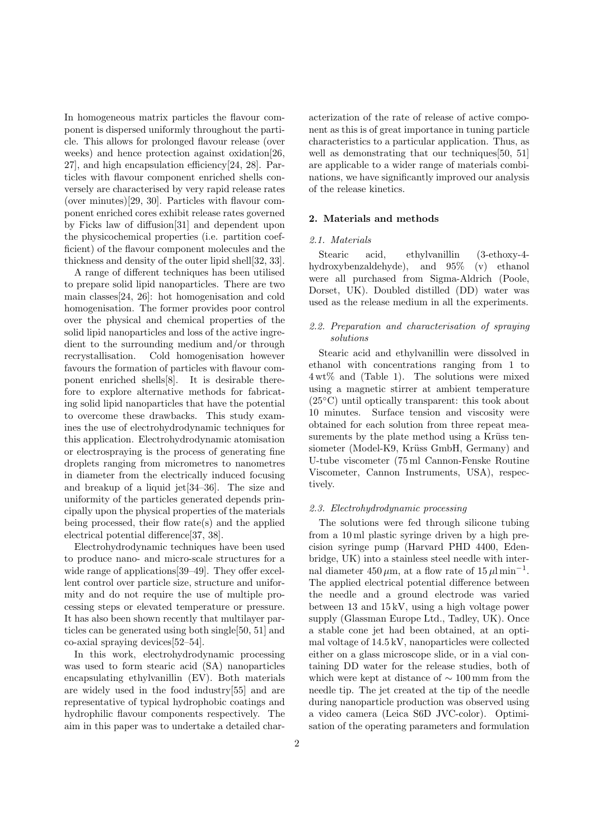In homogeneous matrix particles the flavour component is dispersed uniformly throughout the particle. This allows for prolonged flavour release (over weeks) and hence protection against oxidation[26, 27], and high encapsulation efficiency[24, 28]. Particles with flavour component enriched shells conversely are characterised by very rapid release rates (over minutes)[29, 30]. Particles with flavour component enriched cores exhibit release rates governed by Ficks law of diffusion[31] and dependent upon the physicochemical properties (i.e. partition coefficient) of the flavour component molecules and the thickness and density of the outer lipid shell[32, 33].

A range of different techniques has been utilised to prepare solid lipid nanoparticles. There are two main classes[24, 26]: hot homogenisation and cold homogenisation. The former provides poor control over the physical and chemical properties of the solid lipid nanoparticles and loss of the active ingredient to the surrounding medium and/or through recrystallisation. Cold homogenisation however favours the formation of particles with flavour component enriched shells[8]. It is desirable therefore to explore alternative methods for fabricating solid lipid nanoparticles that have the potential to overcome these drawbacks. This study examines the use of electrohydrodynamic techniques for this application. Electrohydrodynamic atomisation or electrospraying is the process of generating fine droplets ranging from micrometres to nanometres in diameter from the electrically induced focusing and breakup of a liquid jet[34–36]. The size and uniformity of the particles generated depends principally upon the physical properties of the materials being processed, their flow rate(s) and the applied electrical potential difference[37, 38].

Electrohydrodynamic techniques have been used to produce nano- and micro-scale structures for a wide range of applications [39–49]. They offer excellent control over particle size, structure and uniformity and do not require the use of multiple processing steps or elevated temperature or pressure. It has also been shown recently that multilayer particles can be generated using both single[50, 51] and co-axial spraying devices[52–54].

In this work, electrohydrodynamic processing was used to form stearic acid (SA) nanoparticles encapsulating ethylvanillin (EV). Both materials are widely used in the food industry[55] and are representative of typical hydrophobic coatings and hydrophilic flavour components respectively. The aim in this paper was to undertake a detailed characterization of the rate of release of active component as this is of great importance in tuning particle characteristics to a particular application. Thus, as well as demonstrating that our techniques [50, 51] are applicable to a wider range of materials combinations, we have significantly improved our analysis of the release kinetics.

#### 2. Materials and methods

#### 2.1. Materials

Stearic acid, ethylvanillin (3-ethoxy-4 hydroxybenzaldehyde), and 95% (v) ethanol were all purchased from Sigma-Aldrich (Poole, Dorset, UK). Doubled distilled (DD) water was used as the release medium in all the experiments.

## 2.2. Preparation and characterisation of spraying solutions

Stearic acid and ethylvanillin were dissolved in ethanol with concentrations ranging from 1 to 4 wt% and (Table 1). The solutions were mixed using a magnetic stirrer at ambient temperature (25◦C) until optically transparent: this took about 10 minutes. Surface tension and viscosity were obtained for each solution from three repeat measurements by the plate method using a Krüss tensiometer (Model-K9, Krüss GmbH, Germany) and U-tube viscometer (75 ml Cannon-Fenske Routine Viscometer, Cannon Instruments, USA), respectively.

## 2.3. Electrohydrodynamic processing

The solutions were fed through silicone tubing from a 10 ml plastic syringe driven by a high precision syringe pump (Harvard PHD 4400, Edenbridge, UK) into a stainless steel needle with internal diameter  $450 \,\mu \text{m}$ , at a flow rate of  $15 \,\mu \text{l min}^{-1}$ . The applied electrical potential difference between the needle and a ground electrode was varied between 13 and 15 kV, using a high voltage power supply (Glassman Europe Ltd., Tadley, UK). Once a stable cone jet had been obtained, at an optimal voltage of 14.5 kV, nanoparticles were collected either on a glass microscope slide, or in a vial containing DD water for the release studies, both of which were kept at distance of ∼ 100 mm from the needle tip. The jet created at the tip of the needle during nanoparticle production was observed using a video camera (Leica S6D JVC-color). Optimisation of the operating parameters and formulation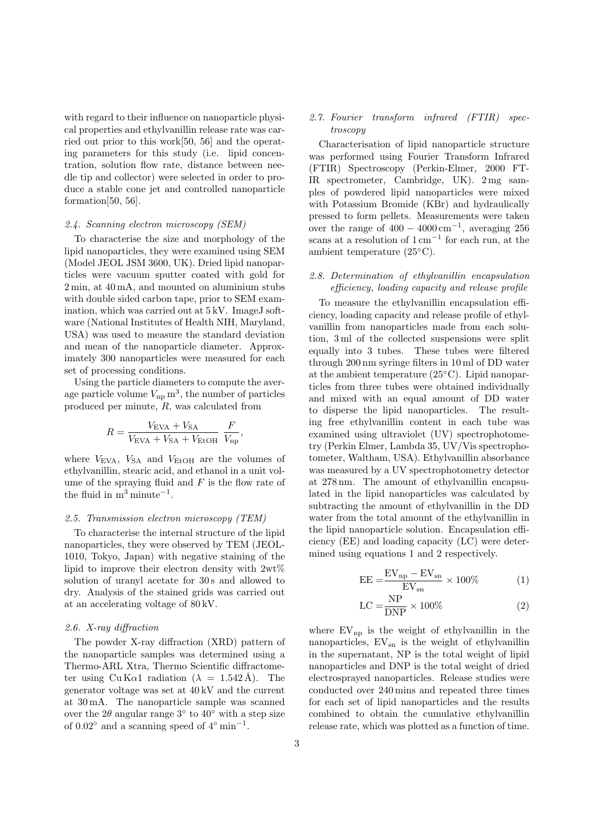with regard to their influence on nanoparticle physical properties and ethylvanillin release rate was carried out prior to this work[50, 56] and the operating parameters for this study (i.e. lipid concentration, solution flow rate, distance between needle tip and collector) were selected in order to produce a stable cone jet and controlled nanoparticle formation $[50, 56]$ .

## 2.4. Scanning electron microscopy (SEM)

To characterise the size and morphology of the lipid nanoparticles, they were examined using SEM (Model JEOL JSM 3600, UK). Dried lipid nanoparticles were vacuum sputter coated with gold for 2 min, at 40 mA, and mounted on aluminium stubs with double sided carbon tape, prior to SEM examination, which was carried out at  $5 \text{ kV}$ . ImageJ software (National Institutes of Health NIH, Maryland, USA) was used to measure the standard deviation and mean of the nanoparticle diameter. Approximately 300 nanoparticles were measured for each set of processing conditions.

Using the particle diameters to compute the average particle volume  $V_{np}$  m<sup>3</sup>, the number of particles produced per minute, R, was calculated from

$$
R = \frac{V_{\rm EVA} + V_{\rm SA}}{V_{\rm EVA} + V_{\rm SA} + V_{\rm EtoH}} \ \frac{F}{V_{\rm np}},
$$

where  $V_{\text{EVA}}$ ,  $V_{\text{SA}}$  and  $V_{\text{EtOH}}$  are the volumes of ethylvanillin, stearic acid, and ethanol in a unit volume of the spraying fluid and  $F$  is the flow rate of the fluid in  $m^3$  minute<sup>-1</sup>.

### 2.5. Transmission electron microscopy (TEM)

To characterise the internal structure of the lipid nanoparticles, they were observed by TEM (JEOL-1010, Tokyo, Japan) with negative staining of the lipid to improve their electron density with 2wt% solution of uranyl acetate for 30s and allowed to dry. Analysis of the stained grids was carried out at an accelerating voltage of 80 kV.

### 2.6. X-ray diffraction

The powder X-ray diffraction (XRD) pattern of the nanoparticle samples was determined using a Thermo-ARL Xtra, Thermo Scientific diffractometer using  $Cu K\alpha1$  radiation  $(\lambda = 1.542 \text{ Å})$ . The generator voltage was set at 40 kV and the current at 30 mA. The nanoparticle sample was scanned over the  $2\theta$  angular range  $3°$  to  $40°$  with a step size of  $0.02^{\circ}$  and a scanning speed of  $4^{\circ}$  min<sup>-1</sup>.

## 2.7. Fourier transform infrared (FTIR) spectroscopy

Characterisation of lipid nanoparticle structure was performed using Fourier Transform Infrared (FTIR) Spectroscopy (Perkin-Elmer, 2000 FT-IR spectrometer, Cambridge, UK). 2 mg samples of powdered lipid nanoparticles were mixed with Potassium Bromide (KBr) and hydraulically pressed to form pellets. Measurements were taken over the range of  $400 - 4000 \,\mathrm{cm}^{-1}$ , averaging 256 scans at a resolution of  $1 \text{ cm}^{-1}$  for each run, at the ambient temperature (25◦C).

# 2.8. Determination of ethylvanillin encapsulation efficiency, loading capacity and release profile

To measure the ethylvanillin encapsulation efficiency, loading capacity and release profile of ethylvanillin from nanoparticles made from each solution, 3 ml of the collected suspensions were split equally into 3 tubes. These tubes were filtered through 200 nm syringe filters in 10 ml of DD water at the ambient temperature (25◦C). Lipid nanoparticles from three tubes were obtained individually and mixed with an equal amount of DD water to disperse the lipid nanoparticles. The resulting free ethylvanillin content in each tube was examined using ultraviolet (UV) spectrophotometry (Perkin Elmer, Lambda 35, UV/Vis spectrophotometer, Waltham, USA). Ethylvanillin absorbance was measured by a UV spectrophotometry detector at 278 nm. The amount of ethylvanillin encapsulated in the lipid nanoparticles was calculated by subtracting the amount of ethylvanillin in the DD water from the total amount of the ethylvanillin in the lipid nanoparticle solution. Encapsulation efficiency (EE) and loading capacity (LC) were determined using equations 1 and 2 respectively.

$$
EE = \frac{EV_{np} - EV_{sn}}{EV_{sn}} \times 100\%
$$
 (1)

$$
LC = \frac{NP}{DNP} \times 100\% \tag{2}
$$

where  $EV_{np}$  is the weight of ethylvanillin in the nanoparticles,  $EV_{sn}$  is the weight of ethylvanillin in the supernatant, NP is the total weight of lipid nanoparticles and DNP is the total weight of dried electrosprayed nanoparticles. Release studies were conducted over 240 mins and repeated three times for each set of lipid nanoparticles and the results combined to obtain the cumulative ethylvanillin release rate, which was plotted as a function of time.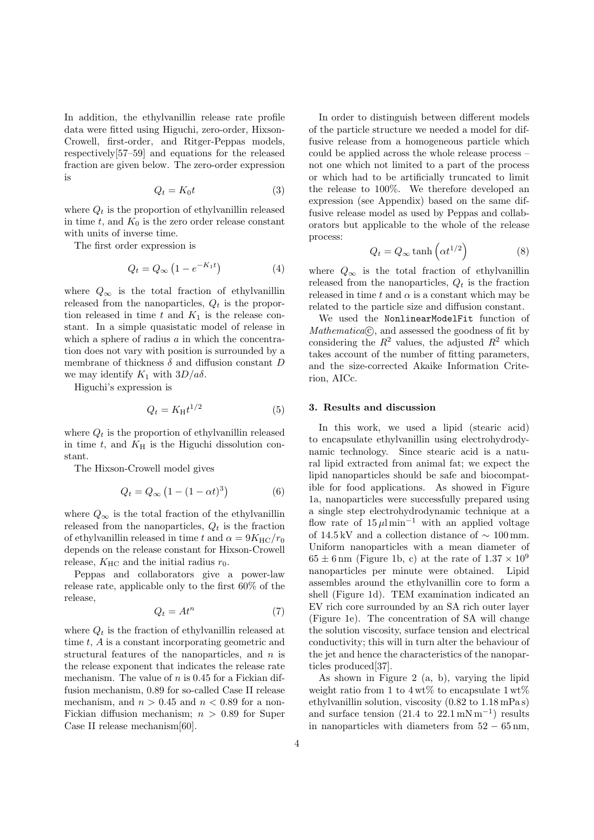In addition, the ethylvanillin release rate profile data were fitted using Higuchi, zero-order, Hixson-Crowell, first-order, and Ritger-Peppas models, respectively[57–59] and equations for the released fraction are given below. The zero-order expression is

$$
Q_t = K_0 t \tag{3}
$$

where  $Q_t$  is the proportion of ethylvanillin released in time  $t$ , and  $K_0$  is the zero order release constant with units of inverse time.

The first order expression is

$$
Q_t = Q_{\infty} \left( 1 - e^{-K_1 t} \right) \tag{4}
$$

where  $Q_{\infty}$  is the total fraction of ethylvanillin released from the nanoparticles,  $Q_t$  is the proportion released in time t and  $K_1$  is the release constant. In a simple quasistatic model of release in which a sphere of radius  $a$  in which the concentration does not vary with position is surrounded by a membrane of thickness  $\delta$  and diffusion constant D we may identify  $K_1$  with  $3D/a\delta$ .

Higuchi's expression is

$$
Q_t = K_{\rm H} t^{1/2} \tag{5}
$$

where  $Q_t$  is the proportion of ethylvanillin released in time  $t$ , and  $K_H$  is the Higuchi dissolution constant.

The Hixson-Crowell model gives

$$
Q_t = Q_{\infty} \left( 1 - (1 - \alpha t)^3 \right) \tag{6}
$$

where  $Q_{\infty}$  is the total fraction of the ethylvanillin released from the nanoparticles,  $Q_t$  is the fraction of ethylvanillin released in time t and  $\alpha = 9K_{\rm HC}/r_0$ depends on the release constant for Hixson-Crowell release,  $K_{\text{HC}}$  and the initial radius  $r_0$ .

Peppas and collaborators give a power-law release rate, applicable only to the first 60% of the release,

$$
Q_t = At^n \tag{7}
$$

where  $Q_t$  is the fraction of ethylvanillin released at time t, A is a constant incorporating geometric and structural features of the nanoparticles, and  $n$  is the release exponent that indicates the release rate mechanism. The value of  $n$  is 0.45 for a Fickian diffusion mechanism, 0.89 for so-called Case II release mechanism, and  $n > 0.45$  and  $n < 0.89$  for a non-Fickian diffusion mechanism;  $n > 0.89$  for Super Case II release mechanism[60].

In order to distinguish between different models of the particle structure we needed a model for diffusive release from a homogeneous particle which could be applied across the whole release process – not one which not limited to a part of the process or which had to be artificially truncated to limit the release to 100%. We therefore developed an expression (see Appendix) based on the same diffusive release model as used by Peppas and collaborators but applicable to the whole of the release process:

$$
Q_t = Q_{\infty} \tanh\left(\alpha t^{1/2}\right) \tag{8}
$$

where  $Q_{\infty}$  is the total fraction of ethylvanillin released from the nanoparticles,  $Q_t$  is the fraction released in time t and  $\alpha$  is a constant which may be related to the particle size and diffusion constant.

We used the NonlinearModelFit function of  $Mathematica$ <sup>c</sup>), and assessed the goodness of fit by considering the  $R^2$  values, the adjusted  $R^2$  which takes account of the number of fitting parameters, and the size-corrected Akaike Information Criterion, AICc.

### 3. Results and discussion

In this work, we used a lipid (stearic acid) to encapsulate ethylvanillin using electrohydrodynamic technology. Since stearic acid is a natural lipid extracted from animal fat; we expect the lipid nanoparticles should be safe and biocompatible for food applications. As showed in Figure 1a, nanoparticles were successfully prepared using a single step electrohydrodynamic technique at a flow rate of  $15 \mu l \text{ min}^{-1}$  with an applied voltage of 14.5 kV and a collection distance of  $\sim 100 \text{ mm}$ . Uniform nanoparticles with a mean diameter of  $65 \pm 6 \,\mathrm{nm}$  (Figure 1b, c) at the rate of  $1.37 \times 10^9$ nanoparticles per minute were obtained. Lipid assembles around the ethylvanillin core to form a shell (Figure 1d). TEM examination indicated an EV rich core surrounded by an SA rich outer layer (Figure 1e). The concentration of SA will change the solution viscosity, surface tension and electrical conductivity; this will in turn alter the behaviour of the jet and hence the characteristics of the nanoparticles produced[37].

As shown in Figure 2 (a, b), varying the lipid weight ratio from 1 to  $4 \text{ wt}\%$  to encapsulate  $1 \text{ wt}\%$ ethylvanillin solution, viscosity (0.82 to 1.18 mPa s) and surface tension  $(21.4 \text{ to } 22.1 \text{ mN m}^{-1})$  results in nanoparticles with diameters from  $52 - 65$  nm,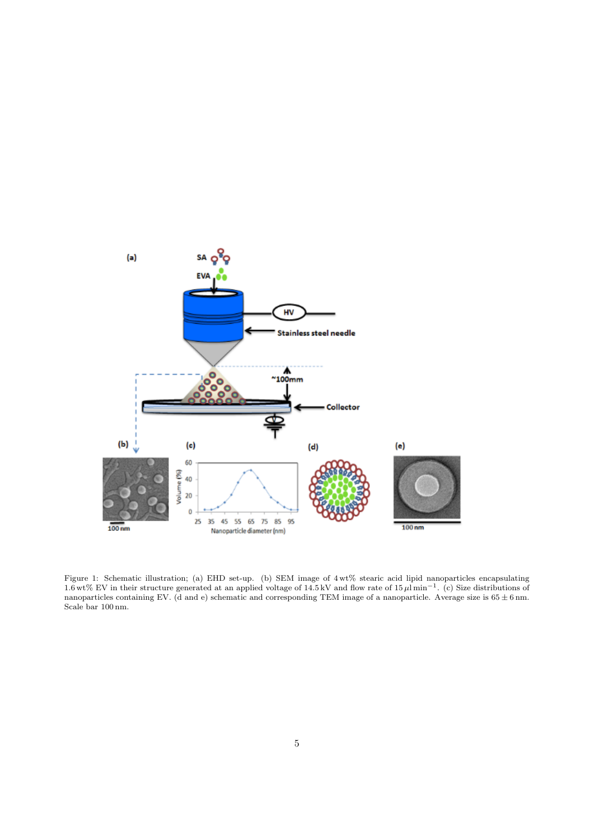

Figure 1: Schematic illustration; (a) EHD set-up. (b) SEM image of 4 wt% stearic acid lipid nanoparticles encapsulating 1.6 wt% EV in their structure generated at an applied voltage of 14.5 kV and flow rate of 15  $\mu$ l min<sup>-1</sup>. (c) Size distributions of nanoparticles containing EV. (d and e) schematic and corresponding TEM image of a nanoparticle. Average size is  $65 \pm 6$  nm. Scale bar 100 nm.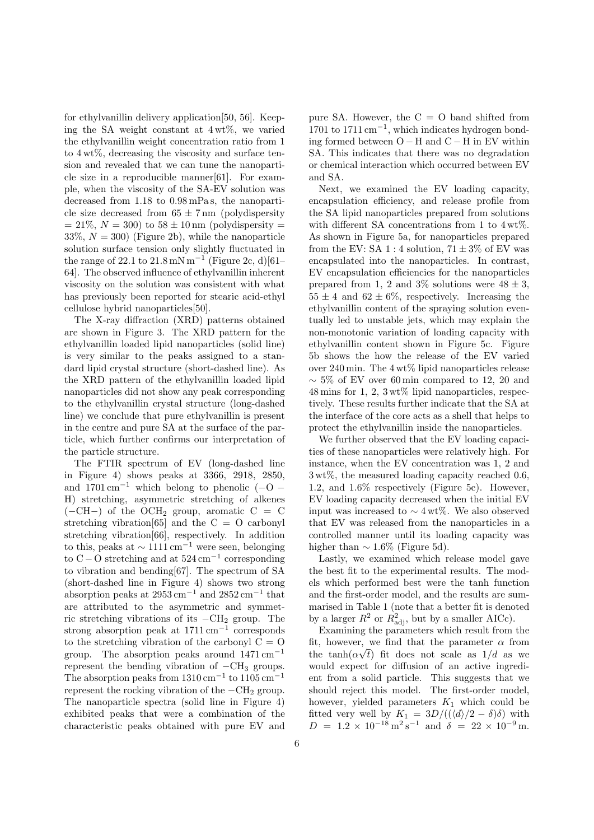for ethylvanillin delivery application[50, 56]. Keeping the SA weight constant at 4 wt%, we varied the ethylvanillin weight concentration ratio from 1 to 4 wt%, decreasing the viscosity and surface tension and revealed that we can tune the nanoparticle size in a reproducible manner[61]. For example, when the viscosity of the SA-EV solution was decreased from 1.18 to 0.98 mPa s, the nanoparticle size decreased from  $65 \pm 7$  nm (polydispersity  $= 21\%, N = 300$  to  $58 \pm 10$  nm (polydispersity  $=$  $33\%$ ,  $N = 300$ ) (Figure 2b), while the nanoparticle solution surface tension only slightly fluctuated in the range of 22.1 to  $21.8 \text{ mN m}^{-1}$  (Figure 2c, d)[61– 64]. The observed influence of ethylvanillin inherent viscosity on the solution was consistent with what has previously been reported for stearic acid-ethyl cellulose hybrid nanoparticles[50].

The X-ray diffraction (XRD) patterns obtained are shown in Figure 3. The XRD pattern for the ethylvanillin loaded lipid nanoparticles (solid line) is very similar to the peaks assigned to a standard lipid crystal structure (short-dashed line). As the XRD pattern of the ethylvanillin loaded lipid nanoparticles did not show any peak corresponding to the ethylvanillin crystal structure (long-dashed line) we conclude that pure ethylvanillin is present in the centre and pure SA at the surface of the particle, which further confirms our interpretation of the particle structure.

The FTIR spectrum of EV (long-dashed line in Figure 4) shows peaks at 3366, 2918, 2850, and  $1701 \text{ cm}^{-1}$  which belong to phenolic (-O – H) stretching, asymmetric stretching of alkenes  $(-CH-)$  of the OCH<sub>2</sub> group, aromatic C = C stretching vibration [65] and the  $C = O$  carbonyl stretching vibration[66], respectively. In addition to this, peaks at  $\sim$  1111 cm<sup>-1</sup> were seen, belonging to C – O stretching and at  $524 \text{ cm}^{-1}$  corresponding to vibration and bending[67]. The spectrum of SA (short-dashed line in Figure 4) shows two strong absorption peaks at  $2953 \text{ cm}^{-1}$  and  $2852 \text{ cm}^{-1}$  that are attributed to the asymmetric and symmetric stretching vibrations of its  $-CH_2$  group. The strong absorption peak at 1711 cm<sup>−</sup><sup>1</sup> corresponds to the stretching vibration of the carbonyl  $C = O$ group. The absorption peaks around  $1471 \text{ cm}^{-1}$ represent the bending vibration of  $-CH_3$  groups. The absorption peaks from  $1310 \text{ cm}^{-1}$  to  $1105 \text{ cm}^{-1}$ represent the rocking vibration of the  $-\text{CH}_2$  group. The nanoparticle spectra (solid line in Figure 4) exhibited peaks that were a combination of the characteristic peaks obtained with pure EV and pure SA. However, the  $C = O$  band shifted from  $1701$  to  $1711 \text{ cm}^{-1}$ , which indicates hydrogen bonding formed between O − H and C − H in EV within SA. This indicates that there was no degradation or chemical interaction which occurred between EV and SA.

Next, we examined the EV loading capacity, encapsulation efficiency, and release profile from the SA lipid nanoparticles prepared from solutions with different SA concentrations from 1 to  $4\,\mathrm{wt}\% .$ As shown in Figure 5a, for nanoparticles prepared from the EV: SA 1 : 4 solution,  $71 \pm 3\%$  of EV was encapsulated into the nanoparticles. In contrast, EV encapsulation efficiencies for the nanoparticles prepared from 1, 2 and 3% solutions were  $48 \pm 3$ ,  $55 \pm 4$  and  $62 \pm 6\%$ , respectively. Increasing the ethylvanillin content of the spraying solution eventually led to unstable jets, which may explain the non-monotonic variation of loading capacity with ethylvanillin content shown in Figure 5c. Figure 5b shows the how the release of the EV varied over 240 min. The 4 wt% lipid nanoparticles release  $\sim$  5% of EV over 60 min compared to 12, 20 and  $48 \,\mathrm{mins}$  for 1, 2,  $3 \,\mathrm{wt}$ % lipid nanoparticles, respectively. These results further indicate that the SA at the interface of the core acts as a shell that helps to protect the ethylvanillin inside the nanoparticles.

We further observed that the EV loading capacities of these nanoparticles were relatively high. For instance, when the EV concentration was 1, 2 and 3 wt%, the measured loading capacity reached 0.6, 1.2, and 1.6% respectively (Figure 5c). However, EV loading capacity decreased when the initial EV input was increased to ∼ 4 wt%. We also observed that EV was released from the nanoparticles in a controlled manner until its loading capacity was higher than  $\sim 1.6\%$  (Figure 5d).

Lastly, we examined which release model gave the best fit to the experimental results. The models which performed best were the tanh function and the first-order model, and the results are summarised in Table 1 (note that a better fit is denoted by a larger  $R^2$  or  $R^2_{\text{adj}}$ , but by a smaller AICc).

Examining the parameters which result from the fit, however, we find that the parameter  $\alpha$  from the tanh( $\alpha \sqrt{t}$ ) fit does not scale as  $1/d$  as we would expect for diffusion of an active ingredient from a solid particle. This suggests that we should reject this model. The first-order model, however, yielded parameters  $K_1$  which could be fitted very well by  $K_1 = 3D/((\langle d \rangle/2 - \delta)\delta)$  with  $D = 1.2 \times 10^{-18} \,\mathrm{m}^2 \,\mathrm{s}^{-1}$  and  $\delta = 22 \times 10^{-9} \,\mathrm{m}$ .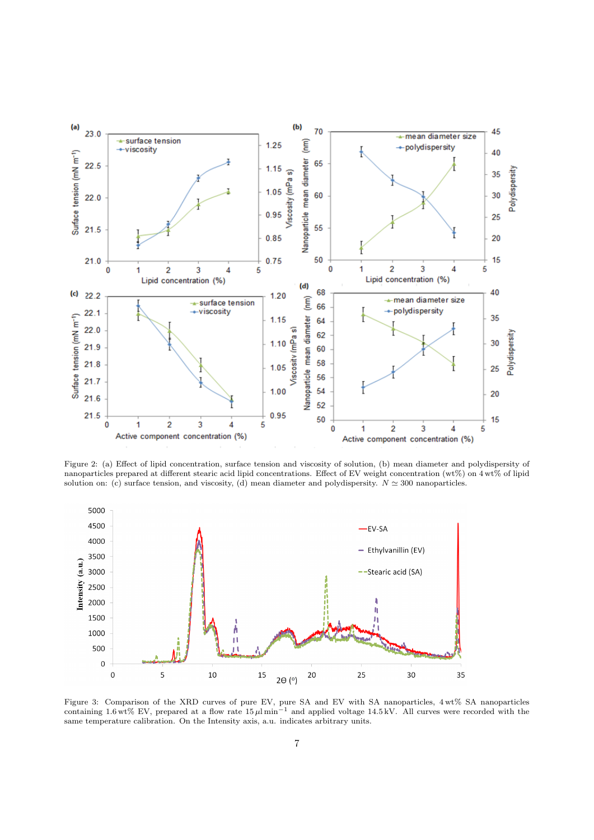

Figure 2: (a) Effect of lipid concentration, surface tension and viscosity of solution, (b) mean diameter and polydispersity of nanoparticles prepared at different stearic acid lipid concentrations. Effect of EV weight concentration (wt%) on 4 wt% of lipid solution on: (c) surface tension, and viscosity, (d) mean diameter and polydispersity.  $N \approx 300$  nanoparticles.



Figure 3: Comparison of the XRD curves of pure EV, pure SA and EV with SA nanoparticles, 4 wt% SA nanoparticles containing 1.6 wt% EV, prepared at a flow rate  $15 \mu\mathrm{I} \text{min}^{-1}$  and applied voltage 14.5 kV. All curves were recorded with the same temperature calibration. On the Intensity axis, a.u. indicates arbitrary units.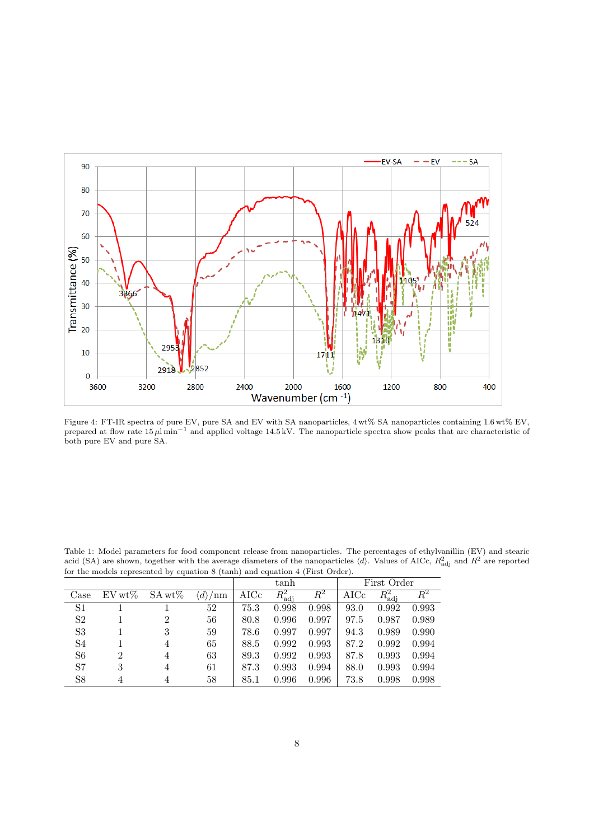

Figure 4: FT-IR spectra of pure EV, pure SA and EV with SA nanoparticles,  $4 \text{ wt\% SA}$  nanoparticles containing  $1.6 \text{ wt\% EV}$ , prepared at flow rate  $15 \mu\mathrm{I} \text{min}^{-1}$  and applied voltage  $14.5 \text{ kV}$ . The nanoparticle spectra show peaks that are characteristic of both pure EV and pure SA.

|                |                |          |                                 | tanh |                      |                    | First Order |                      |                  |
|----------------|----------------|----------|---------------------------------|------|----------------------|--------------------|-------------|----------------------|------------------|
| Case           | $EVwt\%$       | $SAwt\%$ | $\langle d \rangle / \text{nm}$ | AICc | $R^2_{\mathrm{adj}}$ | $\overline{R}{}^2$ | AICc        | $R^2_{\mathrm{adi}}$ | $\overline{R^2}$ |
| S <sub>1</sub> |                |          | 52                              | 75.3 | 0.998                | 0.998              | 93.0        | 0.992                | 0.993            |
| S <sub>2</sub> |                | 2        | 56                              | 80.8 | 0.996                | 0.997              | 97.5        | 0.987                | 0.989            |
| S <sub>3</sub> |                | 3        | 59                              | 78.6 | 0.997                | 0.997              | 94.3        | 0.989                | 0.990            |
| S4             |                | 4        | 65                              | 88.5 | 0.992                | 0.993              | 87.2        | 0.992                | 0.994            |
| S <sub>6</sub> | $\mathfrak{D}$ | 4        | 63                              | 89.3 | 0.992                | 0.993              | 87.8        | 0.993                | 0.994            |
| S7             | 3              | 4        | 61                              | 87.3 | 0.993                | 0.994              | 88.0        | 0.993                | 0.994            |
| S8             |                |          | 58                              | 85.1 | 0.996                | 0.996              | 73.8        | 0.998                | 0.998            |

Table 1: Model parameters for food component release from nanoparticles. The percentages of ethylvanillin (EV) and stearic acid (SA) are shown, together with the average diameters of the nanoparticles  $\langle d \rangle$ . Values of AICc,  $R_{\text{adj}}^2$  and  $R^2$  are reported for the models represented by equation 8 (tanh) and equation 4 (First Order).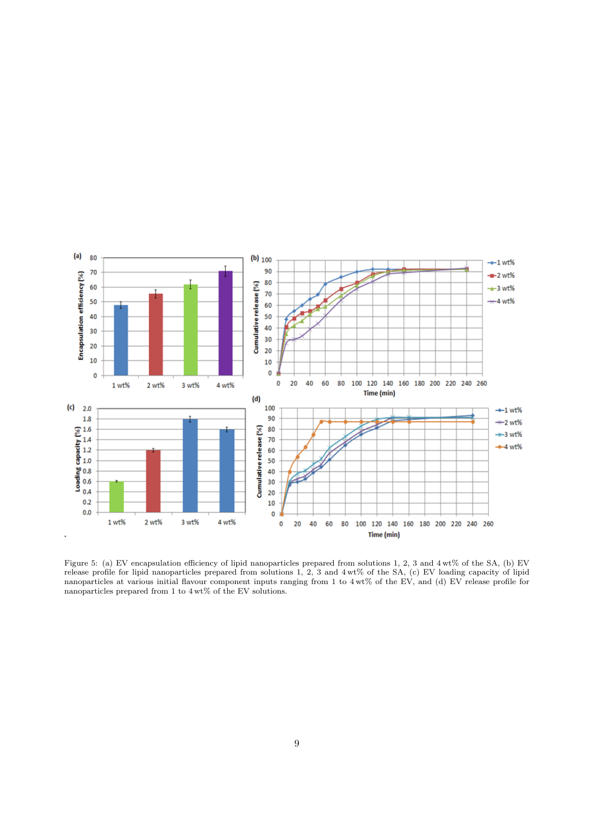

Figure 5: (a) EV encapsulation efficiency of lipid nanoparticles prepared from solutions 1, 2, 3 and  $4wt\%$  of the SA, (b) EV release profile for lipid nanoparticles prepared from solutions 1, 2, 3 and 4 wt% of the SA, (c) EV loading capacity of lipid nanoparticles at various initial flavour component inputs ranging from 1 to 4 wt% of the EV, and (d) EV release profile for nanoparticles prepared from 1 to  $4\,\text{wt}\%$  of the EV solutions.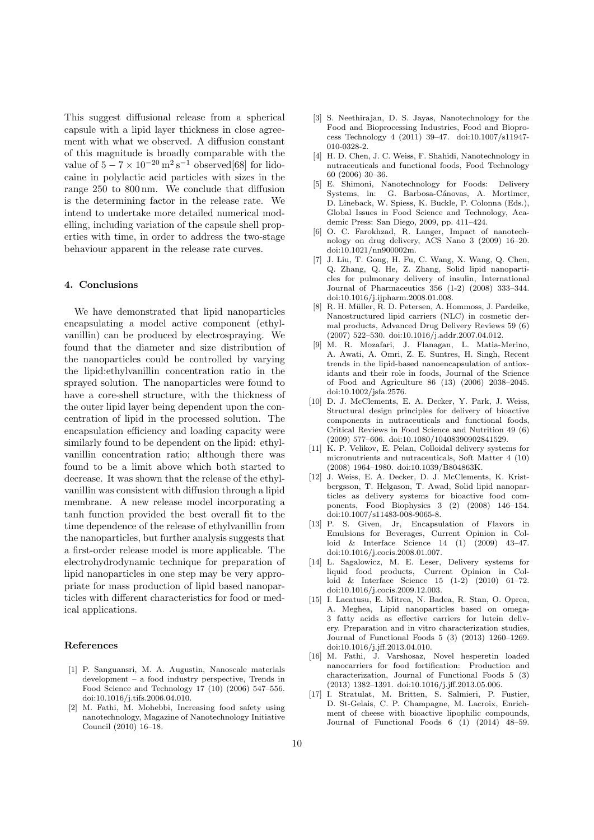This suggest diffusional release from a spherical capsule with a lipid layer thickness in close agreement with what we observed. A diffusion constant of this magnitude is broadly comparable with the value of  $5 - 7 \times 10^{-20}$  m<sup>2</sup> s<sup>-1</sup> observed[68] for lidocaine in polylactic acid particles with sizes in the range 250 to 800 nm. We conclude that diffusion is the determining factor in the release rate. We intend to undertake more detailed numerical modelling, including variation of the capsule shell properties with time, in order to address the two-stage behaviour apparent in the release rate curves.

#### 4. Conclusions

We have demonstrated that lipid nanoparticles encapsulating a model active component (ethylvanillin) can be produced by electrospraying. We found that the diameter and size distribution of the nanoparticles could be controlled by varying the lipid:ethylvanillin concentration ratio in the sprayed solution. The nanoparticles were found to have a core-shell structure, with the thickness of the outer lipid layer being dependent upon the concentration of lipid in the processed solution. The encapsulation efficiency and loading capacity were similarly found to be dependent on the lipid: ethylvanillin concentration ratio; although there was found to be a limit above which both started to decrease. It was shown that the release of the ethylvanillin was consistent with diffusion through a lipid membrane. A new release model incorporating a tanh function provided the best overall fit to the time dependence of the release of ethylvanillin from the nanoparticles, but further analysis suggests that a first-order release model is more applicable. The electrohydrodynamic technique for preparation of lipid nanoparticles in one step may be very appropriate for mass production of lipid based nanoparticles with different characteristics for food or medical applications.

#### References

- [1] P. Sanguansri, M. A. Augustin, Nanoscale materials development – a food industry perspective, Trends in Food Science and Technology 17 (10) (2006) 547–556. doi:10.1016/j.tifs.2006.04.010.
- [2] M. Fathi, M. Mohebbi, Increasing food safety using nanotechnology, Magazine of Nanotechnology Initiative Council (2010) 16–18.
- [3] S. Neethirajan, D. S. Jayas, Nanotechnology for the Food and Bioprocessing Industries, Food and Bioprocess Technology 4 (2011) 39–47. doi:10.1007/s11947- 010-0328-2.
- [4] H. D. Chen, J. C. Weiss, F. Shahidi, Nanotechnology in nutraceuticals and functional foods, Food Technology 60 (2006) 30–36.
- [5] E. Shimoni, Nanotechnology for Foods: Delivery Systems, in: G. Barbosa-Cánovas, A. Mortimer, D. Lineback, W. Spiess, K. Buckle, P. Colonna (Eds.), Global Issues in Food Science and Technology, Academic Press: San Diego, 2009, pp. 411–424.
- [6] O. C. Farokhzad, R. Langer, Impact of nanotechnology on drug delivery, ACS Nano 3 (2009) 16–20. doi:10.1021/nn900002m.
- [7] J. Liu, T. Gong, H. Fu, C. Wang, X. Wang, Q. Chen, Q. Zhang, Q. He, Z. Zhang, Solid lipid nanoparticles for pulmonary delivery of insulin, International Journal of Pharmaceutics 356 (1-2) (2008) 333–344. doi:10.1016/j.ijpharm.2008.01.008.
- [8] R. H. Müller, R. D. Petersen, A. Hommoss, J. Pardeike, Nanostructured lipid carriers (NLC) in cosmetic dermal products, Advanced Drug Delivery Reviews 59 (6) (2007) 522–530. doi:10.1016/j.addr.2007.04.012.
- [9] M. R. Mozafari, J. Flanagan, L. Matia-Merino, A. Awati, A. Omri, Z. E. Suntres, H. Singh, Recent trends in the lipid-based nanoencapsulation of antioxidants and their role in foods, Journal of the Science of Food and Agriculture 86 (13) (2006) 2038–2045. doi:10.1002/jsfa.2576.
- [10] D. J. McClements, E. A. Decker, Y. Park, J. Weiss, Structural design principles for delivery of bioactive components in nutraceuticals and functional foods, Critical Reviews in Food Science and Nutrition 49 (6) (2009) 577–606. doi:10.1080/10408390902841529.
- [11] K. P. Velikov, E. Pelan, Colloidal delivery systems for micronutrients and nutraceuticals, Soft Matter 4 (10) (2008) 1964–1980. doi:10.1039/B804863K.
- [12] J. Weiss, E. A. Decker, D. J. McClements, K. Kristbergsson, T. Helgason, T. Awad, Solid lipid nanoparticles as delivery systems for bioactive food components, Food Biophysics 3 (2) (2008) 146–154. doi:10.1007/s11483-008-9065-8.
- [13] P. S. Given, Jr, Encapsulation of Flavors in Emulsions for Beverages, Current Opinion in Colloid & Interface Science 14 (1) (2009) 43–47. doi:10.1016/j.cocis.2008.01.007.
- [14] L. Sagalowicz, M. E. Leser, Delivery systems for liquid food products, Current Opinion in Colloid & Interface Science 15 (1-2) (2010) 61–72. doi:10.1016/j.cocis.2009.12.003.
- [15] I. Lacatusu, E. Mitrea, N. Badea, R. Stan, O. Oprea, A. Meghea, Lipid nanoparticles based on omega-3 fatty acids as effective carriers for lutein delivery. Preparation and in vitro characterization studies, Journal of Functional Foods 5 (3) (2013) 1260–1269. doi:10.1016/j.jff.2013.04.010.
- [16] M. Fathi, J. Varshosaz, Novel hesperetin loaded nanocarriers for food fortification: Production and characterization, Journal of Functional Foods 5 (3) (2013) 1382–1391. doi:10.1016/j.jff.2013.05.006.
- [17] I. Stratulat, M. Britten, S. Salmieri, P. Fustier, D. St-Gelais, C. P. Champagne, M. Lacroix, Enrichment of cheese with bioactive lipophilic compounds, Journal of Functional Foods 6 (1) (2014) 48–59.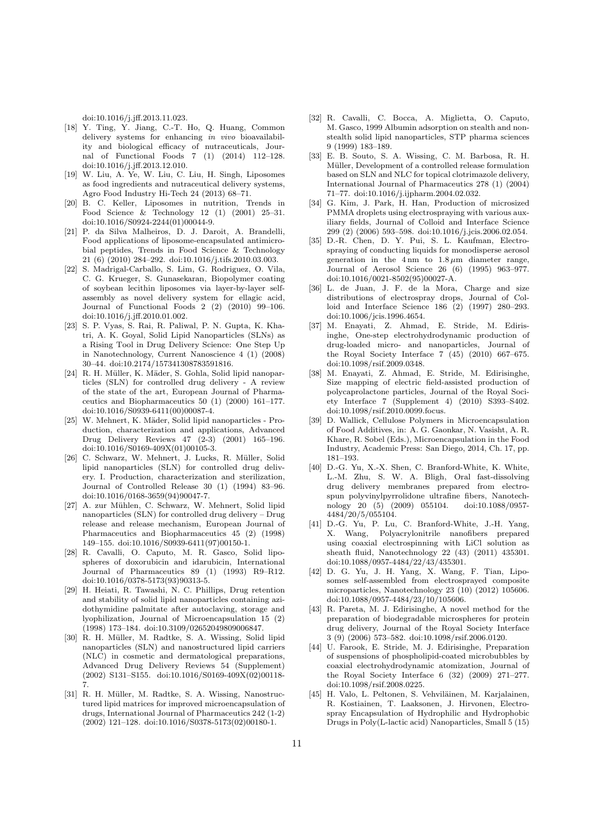doi:10.1016/j.jff.2013.11.023.

- [18] Y. Ting, Y. Jiang, C.-T. Ho, Q. Huang, Common delivery systems for enhancing in vivo bioavailability and biological efficacy of nutraceuticals, Journal of Functional Foods 7 (1) (2014) 112–128. doi:10.1016/j.jff.2013.12.010.
- [19] W. Liu, A. Ye, W. Liu, C. Liu, H. Singh, Liposomes as food ingredients and nutraceutical delivery systems, Agro Food Industry Hi-Tech 24 (2013) 68–71.
- [20] B. C. Keller, Liposomes in nutrition, Trends in Food Science & Technology 12 (1) (2001) 25–31. doi:10.1016/S0924-2244(01)00044-9.
- [21] P. da Silva Malheiros, D. J. Daroit, A. Brandelli, Food applications of liposome-encapsulated antimicrobial peptides, Trends in Food Science & Technology 21 (6) (2010) 284–292. doi:10.1016/j.tifs.2010.03.003.
- [22] S. Madrigal-Carballo, S. Lim, G. Rodriguez, O. Vila, C. G. Krueger, S. Gunasekaran, Biopolymer coating of soybean lecithin liposomes via layer-by-layer selfassembly as novel delivery system for ellagic acid, Journal of Functional Foods 2 (2) (2010) 99–106. doi:10.1016/j.jff.2010.01.002.
- [23] S. P. Vyas, S. Rai, R. Paliwal, P. N. Gupta, K. Khatri, A. K. Goyal, Solid Lipid Nanoparticles (SLNs) as a Rising Tool in Drug Delivery Science: One Step Up in Nanotechnology, Current Nanoscience 4 (1) (2008) 30–44. doi:10.2174/157341308783591816.
- [24] R. H. Müller, K. Mäder, S. Gohla, Solid lipid nanoparticles (SLN) for controlled drug delivery - A review of the state of the art, European Journal of Pharmaceutics and Biopharmaceutics 50 (1) (2000) 161–177. doi:10.1016/S0939-6411(00)00087-4.
- [25] W. Mehnert, K. Mäder, Solid lipid nanoparticles Production, characterization and applications, Advanced Drug Delivery Reviews 47 (2-3) (2001) 165–196. doi:10.1016/S0169-409X(01)00105-3.
- [26] C. Schwarz, W. Mehnert, J. Lucks, R. Müller, Solid lipid nanoparticles (SLN) for controlled drug delivery. I. Production, characterization and sterilization, Journal of Controlled Release 30 (1) (1994) 83–96. doi:10.1016/0168-3659(94)90047-7.
- [27] A. zur Mühlen, C. Schwarz, W. Mehnert, Solid lipid nanoparticles (SLN) for controlled drug delivery – Drug release and release mechanism, European Journal of Pharmaceutics and Biopharmaceutics 45 (2) (1998) 149–155. doi:10.1016/S0939-6411(97)00150-1.
- [28] R. Cavalli, O. Caputo, M. R. Gasco, Solid lipospheres of doxorubicin and idarubicin, International Journal of Pharmaceutics 89 (1) (1993) R9–R12. doi:10.1016/0378-5173(93)90313-5.
- [29] H. Heiati, R. Tawashi, N. C. Phillips, Drug retention and stability of solid lipid nanoparticles containing azidothymidine palmitate after autoclaving, storage and lyophilization, Journal of Microencapsulation 15 (2) (1998) 173–184. doi:10.3109/02652049809006847.
- [30] R. H. Müller, M. Radtke, S. A. Wissing, Solid lipid nanoparticles (SLN) and nanostructured lipid carriers (NLC) in cosmetic and dermatological preparations, Advanced Drug Delivery Reviews 54 (Supplement) (2002) S131–S155. doi:10.1016/S0169-409X(02)00118- 7.
- [31] R. H. Müller, M. Radtke, S. A. Wissing, Nanostructured lipid matrices for improved microencapsulation of drugs, International Journal of Pharmaceutics 242 (1-2) (2002) 121–128. doi:10.1016/S0378-5173(02)00180-1.
- [32] R. Cavalli, C. Bocca, A. Miglietta, O. Caputo, M. Gasco, 1999 Albumin adsorption on stealth and nonstealth solid lipid nanoparticles, STP pharma sciences 9 (1999) 183–189.
- [33] E. B. Souto, S. A. Wissing, C. M. Barbosa, R. H. Müller, Development of a controlled release formulation based on SLN and NLC for topical clotrimazole delivery, International Journal of Pharmaceutics 278 (1) (2004) 71–77. doi:10.1016/j.ijpharm.2004.02.032.
- [34] G. Kim, J. Park, H. Han, Production of microsized PMMA droplets using electrospraying with various auxiliary fields, Journal of Colloid and Interface Science 299 (2) (2006) 593–598. doi:10.1016/j.jcis.2006.02.054.
- [35] D.-R. Chen, D. Y. Pui, S. L. Kaufman, Electrospraying of conducting liquids for monodisperse aerosol generation in the 4 nm to  $1.8 \mu m$  diameter range, Journal of Aerosol Science 26 (6) (1995) 963–977. doi:10.1016/0021-8502(95)00027-A.
- [36] L. de Juan, J. F. de la Mora, Charge and size distributions of electrospray drops, Journal of Colloid and Interface Science 186 (2) (1997) 280–293. doi:10.1006/jcis.1996.4654.
- [37] M. Enayati, Z. Ahmad, E. Stride, M. Edirisinghe, One-step electrohydrodynamic production of drug-loaded micro- and nanoparticles, Journal of the Royal Society Interface 7 (45) (2010) 667–675. doi:10.1098/rsif.2009.0348.
- [38] M. Enayati, Z. Ahmad, E. Stride, M. Edirisinghe, Size mapping of electric field-assisted production of polycaprolactone particles, Journal of the Royal Society Interface 7 (Supplement 4) (2010) S393–S402. doi:10.1098/rsif.2010.0099.focus.
- [39] D. Wallick, Cellulose Polymers in Microencapsulation of Food Additives, in: A. G. Gaonkar, N. Vasisht, A. R. Khare, R. Sobel (Eds.), Microencapsulation in the Food Industry, Academic Press: San Diego, 2014, Ch. 17, pp. 181–193.
- [40] D.-G. Yu, X.-X. Shen, C. Branford-White, K. White, L.-M. Zhu, S. W. A. Bligh, Oral fast-dissolving drug delivery membranes prepared from electrospun polyvinylpyrrolidone ultrafine fibers, Nanotechnology 20 (5) (2009) 055104. doi:10.1088/0957- 4484/20/5/055104.
- [41] D.-G. Yu, P. Lu, C. Branford-White, J.-H. Yang, X. Wang, Polyacrylonitrile nanofibers prepared using coaxial electrospinning with LiCl solution as sheath fluid, Nanotechnology 22 (43) (2011) 435301. doi:10.1088/0957-4484/22/43/435301.
- [42] D. G. Yu, J. H. Yang, X. Wang, F. Tian, Liposomes self-assembled from electrosprayed composite microparticles, Nanotechnology 23 (10) (2012) 105606. doi:10.1088/0957-4484/23/10/105606.
- [43] R. Pareta, M. J. Edirisinghe, A novel method for the preparation of biodegradable microspheres for protein drug delivery, Journal of the Royal Society Interface 3 (9) (2006) 573–582. doi:10.1098/rsif.2006.0120.
- [44] U. Farook, E. Stride, M. J. Edirisinghe, Preparation of suspensions of phospholipid-coated microbubbles by coaxial electrohydrodynamic atomization, Journal of the Royal Society Interface 6 (32) (2009) 271–277. doi:10.1098/rsif.2008.0225.
- [45] H. Valo, L. Peltonen, S. Vehviläinen, M. Karjalainen, R. Kostiainen, T. Laaksonen, J. Hirvonen, Electrospray Encapsulation of Hydrophilic and Hydrophobic Drugs in Poly(L-lactic acid) Nanoparticles, Small 5 (15)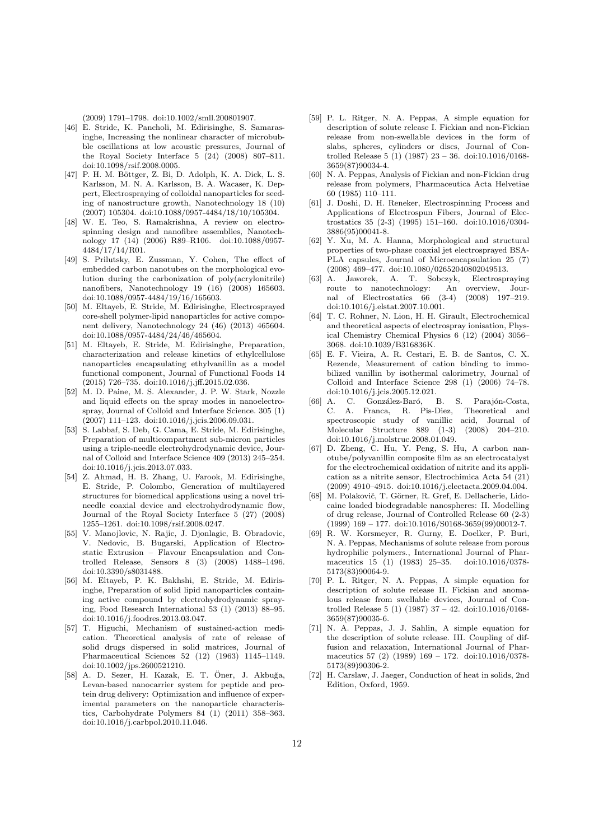(2009) 1791–1798. doi:10.1002/smll.200801907.

- [46] E. Stride, K. Pancholi, M. Edirisinghe, S. Samarasinghe, Increasing the nonlinear character of microbubble oscillations at low acoustic pressures, Journal of the Royal Society Interface 5 (24) (2008) 807–811. doi:10.1098/rsif.2008.0005.
- [47] P. H. M. Böttger, Z. Bi, D. Adolph, K. A. Dick, L. S. Karlsson, M. N. A. Karlsson, B. A. Wacaser, K. Deppert, Electrospraying of colloidal nanoparticles for seeding of nanostructure growth, Nanotechnology 18 (10) (2007) 105304. doi:10.1088/0957-4484/18/10/105304.
- [48] W. E. Teo, S. Ramakrishna, A review on electrospinning design and nanofibre assemblies, Nanotechnology 17 (14) (2006) R89–R106. doi:10.1088/0957- 4484/17/14/R01.
- [49] S. Prilutsky, E. Zussman, Y. Cohen, The effect of embedded carbon nanotubes on the morphological evolution during the carbonization of poly(acrylonitrile) nanofibers, Nanotechnology 19 (16) (2008) 165603. doi:10.1088/0957-4484/19/16/165603.
- [50] M. Eltayeb, E. Stride, M. Edirisinghe, Electrosprayed core-shell polymer-lipid nanoparticles for active component delivery, Nanotechnology 24 (46) (2013) 465604. doi:10.1088/0957-4484/24/46/465604.
- [51] M. Eltayeb, E. Stride, M. Edirisinghe, Preparation, characterization and release kinetics of ethylcellulose nanoparticles encapsulating ethylvanillin as a model functional component, Journal of Functional Foods 14 (2015) 726–735. doi:10.1016/j.jff.2015.02.036.
- [52] M. D. Paine, M. S. Alexander, J. P. W. Stark, Nozzle and liquid effects on the spray modes in nanoelectrospray, Journal of Colloid and Interface Science. 305 (1) (2007) 111–123. doi:10.1016/j.jcis.2006.09.031.
- [53] S. Labbaf, S. Deb, G. Cama, E. Stride, M. Edirisinghe, Preparation of multicompartment sub-micron particles using a triple-needle electrohydrodynamic device, Journal of Colloid and Interface Science 409 (2013) 245–254. doi:10.1016/j.jcis.2013.07.033.
- [54] Z. Ahmad, H. B. Zhang, U. Farook, M. Edirisinghe, E. Stride, P. Colombo, Generation of multilayered structures for biomedical applications using a novel trineedle coaxial device and electrohydrodynamic flow, Journal of the Royal Society Interface 5 (27) (2008) 1255–1261. doi:10.1098/rsif.2008.0247.
- [55] V. Manojlovic, N. Rajic, J. Djonlagic, B. Obradovic, V. Nedovic, B. Bugarski, Application of Electrostatic Extrusion – Flavour Encapsulation and Controlled Release, Sensors 8 (3) (2008) 1488–1496. doi:10.3390/s8031488.
- [56] M. Eltayeb, P. K. Bakhshi, E. Stride, M. Edirisinghe, Preparation of solid lipid nanoparticles containing active compound by electrohydrodynamic spraying, Food Research International 53 (1) (2013) 88–95. doi:10.1016/j.foodres.2013.03.047.
- [57] T. Higuchi, Mechanism of sustained-action medication. Theoretical analysis of rate of release of solid drugs dispersed in solid matrices, Journal of Pharmaceutical Sciences 52 (12) (1963) 1145–1149. doi:10.1002/jps.2600521210.
- [58] A. D. Sezer, H. Kazak, E. T. Oner, J. Akbu˘ga, ¨ Levan-based nanocarrier system for peptide and protein drug delivery: Optimization and influence of experimental parameters on the nanoparticle characteristics, Carbohydrate Polymers 84 (1) (2011) 358–363. doi:10.1016/j.carbpol.2010.11.046.
- [59] P. L. Ritger, N. A. Peppas, A simple equation for description of solute release I. Fickian and non-Fickian release from non-swellable devices in the form of slabs, spheres, cylinders or discs, Journal of Controlled Release 5 (1) (1987) 23 – 36. doi:10.1016/0168- 3659(87)90034-4.
- [60] N. A. Peppas, Analysis of Fickian and non-Fickian drug release from polymers, Pharmaceutica Acta Helvetiae 60 (1985) 110–111.
- [61] J. Doshi, D. H. Reneker, Electrospinning Process and Applications of Electrospun Fibers, Journal of Electrostatics 35 (2-3) (1995) 151–160. doi:10.1016/0304- 3886(95)00041-8.
- [62] Y. Xu, M. A. Hanna, Morphological and structural properties of two-phase coaxial jet electrosprayed BSA-PLA capsules, Journal of Microencapsulation 25 (7) (2008) 469–477. doi:10.1080/02652040802049513.
- [63] A. Jaworek, A. T. Sobczyk, Electrospraying route to nanotechnology: An overview, Journal of Electrostatics 66 (3-4) (2008) 197-219. nal of Electrostatics 66 doi:10.1016/j.elstat.2007.10.001.
- [64] T. C. Rohner, N. Lion, H. H. Girault, Electrochemical and theoretical aspects of electrospray ionisation, Physical Chemistry Chemical Physics 6 (12) (2004) 3056– 3068. doi:10.1039/B316836K.
- [65] E. F. Vieira, A. R. Cestari, E. B. de Santos, C. X. Rezende, Measurement of cation binding to immobilized vanillin by isothermal calorimetry, Journal of Colloid and Interface Science 298 (1) (2006) 74–78. doi:10.1016/j.jcis.2005.12.021.<br>[66] A. C. González-Baró, B.
- [66] A. C. Gonz´alez-Bar´o, B. S. Paraj´on-Costa, C. A. Franca, R. Pis-Diez, Theoretical and spectroscopic study of vanillic acid, Journal of Molecular Structure 889 (1-3) (2008) 204–210. doi:10.1016/j.molstruc.2008.01.049.
- [67] D. Zheng, C. Hu, Y. Peng, S. Hu, A carbon nanotube/polyvanillin composite film as an electrocatalyst for the electrochemical oxidation of nitrite and its application as a nitrite sensor, Electrochimica Acta 54 (21) (2009) 4910–4915. doi:10.1016/j.electacta.2009.04.004.
- [68] M. Polakovič, T. Görner, R. Gref, E. Dellacherie, Lidocaine loaded biodegradable nanospheres: II. Modelling of drug release, Journal of Controlled Release 60 (2-3)  $(1999)$  169 – 177. doi:10.1016/S0168-3659(99)00012-7.
- [69] R. W. Korsmeyer, R. Gurny, E. Doelker, P. Buri, N. A. Peppas, Mechanisms of solute release from porous hydrophilic polymers., International Journal of Pharmaceutics 15 (1) (1983) 25–35. doi:10.1016/0378- 5173(83)90064-9.
- [70] P. L. Ritger, N. A. Peppas, A simple equation for description of solute release II. Fickian and anomalous release from swellable devices, Journal of Controlled Release 5 (1) (1987) 37 – 42. doi:10.1016/0168- 3659(87)90035-6.
- [71] N. A. Peppas, J. J. Sahlin, A simple equation for the description of solute release. III. Coupling of diffusion and relaxation, International Journal of Pharmaceutics 57 (2) (1989) 169 – 172. doi:10.1016/0378- 5173(89)90306-2.
- [72] H. Carslaw, J. Jaeger, Conduction of heat in solids, 2nd Edition, Oxford, 1959.